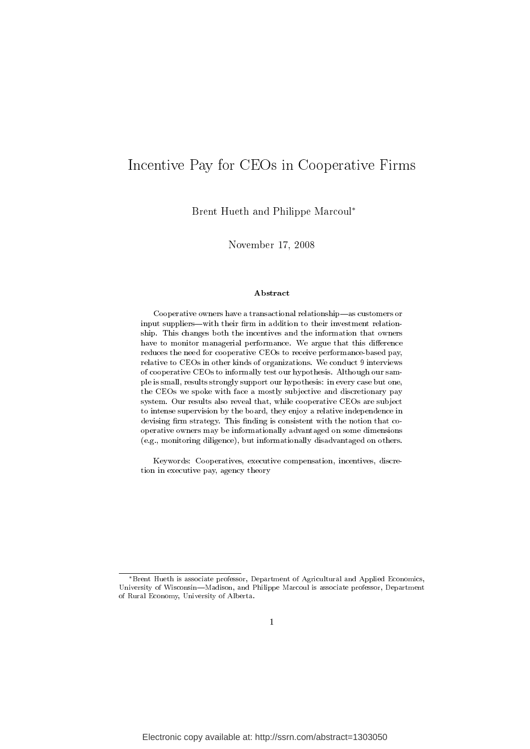# Incentive Pay for CEOs in Cooperative Firms

Brent Hueth and Philippe Marcoul<sup>∗</sup>

November 17, 2008

#### Abstract

Cooperative owners have a transactional relationship—as customers or input suppliers—with their firm in addition to their investment relationship. This changes both the incentives and the information that owners have to monitor managerial performance. We argue that this difference reduces the need for cooperative CEOs to receive performance-based pay, relative to CEOs in other kinds of organizations. We conduct 9 interviews of cooperative CEOs to informally test our hypothesis. Although our sample is small, results strongly support our hypothesis: in every case but one, the CEOs we spoke with face a mostly subjective and discretionary pay system. Our results also reveal that, while cooperative CEOs are subject to intense supervision by the board, they enjoy a relative independence in devising firm strategy. This finding is consistent with the notion that cooperative owners may be informationally advantaged on some dimensions (e.g., monitoring diligence), but informationally disadvantaged on others.

Keywords: Cooperatives, executive compensation, incentives, discretion in executive pay, agency theory

<sup>∗</sup>Brent Hueth is associate professor, Department of Agricultural and Applied Economics, University of Wisconsin-Madison, and Philippe Marcoul is associate professor, Department of Rural Economy, University of Alberta.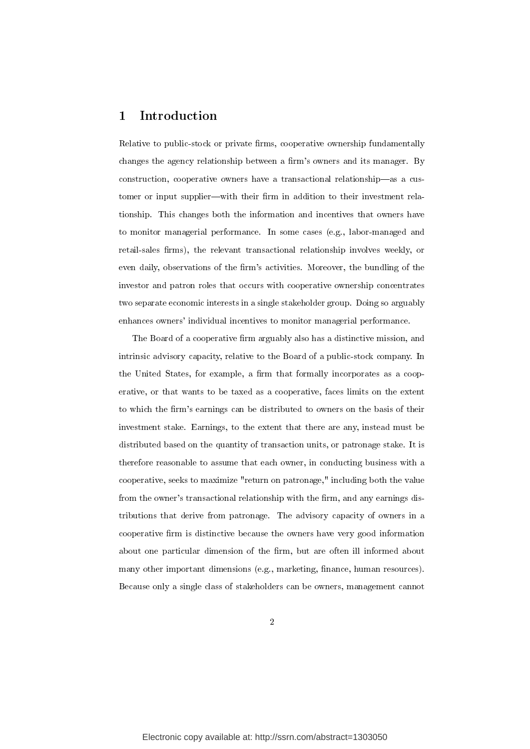# 1 Introduction

Relative to public-stock or private firms, cooperative ownership fundamentally changes the agency relationship between a firm's owners and its manager. By construction, cooperative owners have a transactional relationship—as a customer or input supplier—with their firm in addition to their investment relationship. This changes both the information and incentives that owners have to monitor managerial performance. In some cases (e.g., labor-managed and retail-sales firms), the relevant transactional relationship involves weekly, or even daily, observations of the firm's activities. Moreover, the bundling of the investor and patron roles that occurs with cooperative ownership concentrates two separate economic interests in a single stakeholder group. Doing so arguably enhances owners' individual incentives to monitor managerial performance.

The Board of a cooperative firm arguably also has a distinctive mission, and intrinsic advisory capacity, relative to the Board of a public-stock company. In the United States, for example, a firm that formally incorporates as a cooperative, or that wants to be taxed as a cooperative, faces limits on the extent to which the firm's earnings can be distributed to owners on the basis of their investment stake. Earnings, to the extent that there are any, instead must be distributed based on the quantity of transaction units, or patronage stake. It is therefore reasonable to assume that each owner, in conducting business with a cooperative, seeks to maximize "return on patronage," including both the value from the owner's transactional relationship with the firm, and any earnings distributions that derive from patronage. The advisory capacity of owners in a cooperative firm is distinctive because the owners have very good information about one particular dimension of the firm, but are often ill informed about many other important dimensions (e.g., marketing, finance, human resources). Because only a single class of stakeholders can be owners, management cannot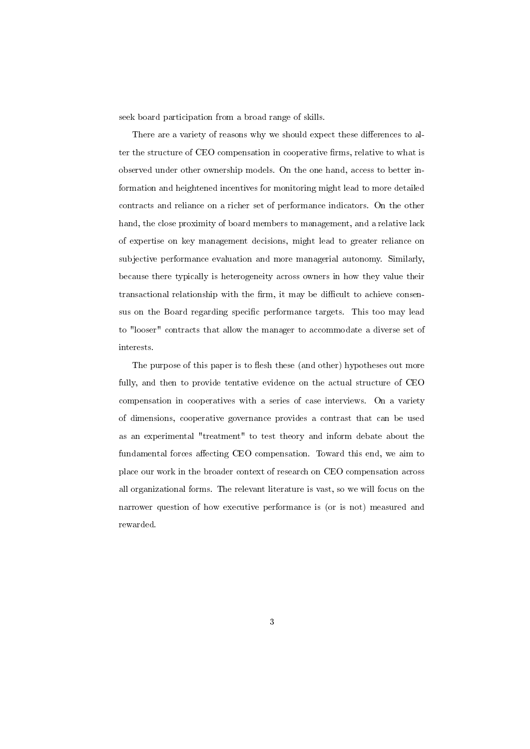seek board participation from a broad range of skills.

There are a variety of reasons why we should expect these differences to alter the structure of CEO compensation in cooperative firms, relative to what is observed under other ownership models. On the one hand, access to better information and heightened incentives for monitoring might lead to more detailed contracts and reliance on a richer set of performance indicators. On the other hand, the close proximity of board members to management, and a relative lack of expertise on key management decisions, might lead to greater reliance on subjective performance evaluation and more managerial autonomy. Similarly, because there typically is heterogeneity across owners in how they value their transactional relationship with the firm, it may be difficult to achieve consensus on the Board regarding specific performance targets. This too may lead to "looser" contracts that allow the manager to accommodate a diverse set of interests.

The purpose of this paper is to flesh these (and other) hypotheses out more fully, and then to provide tentative evidence on the actual structure of CEO compensation in cooperatives with a series of case interviews. On a variety of dimensions, cooperative governance provides a contrast that can be used as an experimental "treatment" to test theory and inform debate about the fundamental forces affecting CEO compensation. Toward this end, we aim to place our work in the broader context of research on CEO compensation across all organizational forms. The relevant literature is vast, so we will focus on the narrower question of how executive performance is (or is not) measured and rewarded.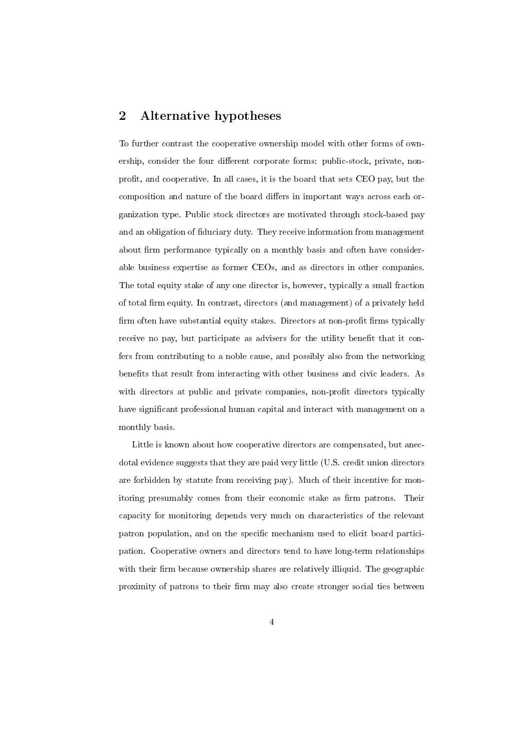# 2 Alternative hypotheses

To further contrast the cooperative ownership model with other forms of ownership, consider the four different corporate forms: public-stock, private, nonprofit, and cooperative. In all cases, it is the board that sets CEO pay, but the composition and nature of the board differs in important ways across each organization type. Public stock directors are motivated through stock-based pay and an obligation of fiduciary duty. They receive information from management about firm performance typically on a monthly basis and often have considerable business expertise as former CEOs, and as directors in other companies. The total equity stake of any one director is, however, typically a small fraction of total firm equity. In contrast, directors (and management) of a privately held firm often have substantial equity stakes. Directors at non-profit firms typically receive no pay, but participate as advisers for the utility benefit that it confers from contributing to a noble cause, and possibly also from the networking benefits that result from interacting with other business and civic leaders. As with directors at public and private companies, non-profit directors typically have significant professional human capital and interact with management on a monthly basis.

Little is known about how cooperative directors are compensated, but anecdotal evidence suggests that they are paid very little (U.S. credit union directors are forbidden by statute from receiving pay). Much of their incentive for monitoring presumably comes from their economic stake as firm patrons. Their capacity for monitoring depends very much on characteristics of the relevant patron population, and on the specific mechanism used to elicit board participation. Cooperative owners and directors tend to have long-term relationships with their firm because ownership shares are relatively illiquid. The geographic proximity of patrons to their firm may also create stronger social ties between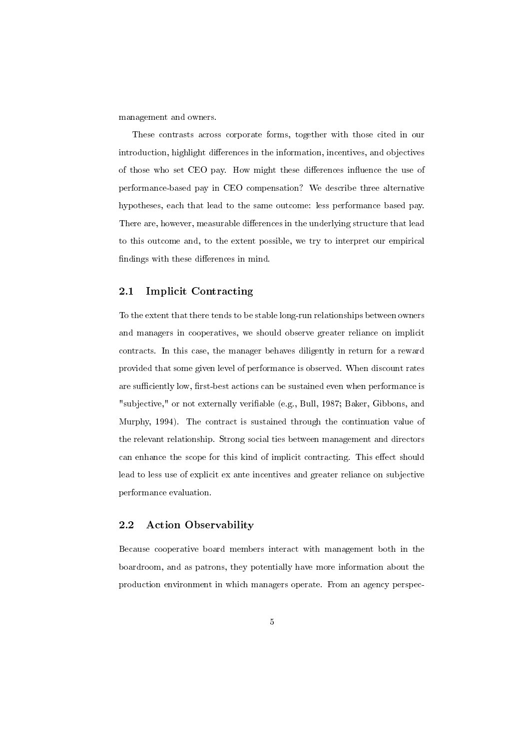management and owners.

These contrasts across corporate forms, together with those cited in our introduction, highlight differences in the information, incentives, and objectives of those who set CEO pay. How might these differences influence the use of performance-based pay in CEO compensation? We describe three alternative hypotheses, each that lead to the same outcome: less performance based pay. There are, however, measurable differences in the underlying structure that lead to this outcome and, to the extent possible, we try to interpret our empirical findings with these differences in mind.

## 2.1 Implicit Contracting

To the extent that there tends to be stable long-run relationships between owners and managers in cooperatives, we should observe greater reliance on implicit contracts. In this case, the manager behaves diligently in return for a reward provided that some given level of performance is observed. When discount rates are sufficiently low, first-best actions can be sustained even when performance is "subjective," or not externally verifiable (e.g., Bull, 1987; Baker, Gibbons, and Murphy, 1994). The contract is sustained through the continuation value of the relevant relationship. Strong social ties between management and directors can enhance the scope for this kind of implicit contracting. This effect should lead to less use of explicit ex ante incentives and greater reliance on subjective performance evaluation.

## 2.2 Action Observability

Because cooperative board members interact with management both in the boardroom, and as patrons, they potentially have more information about the production environment in which managers operate. From an agency perspec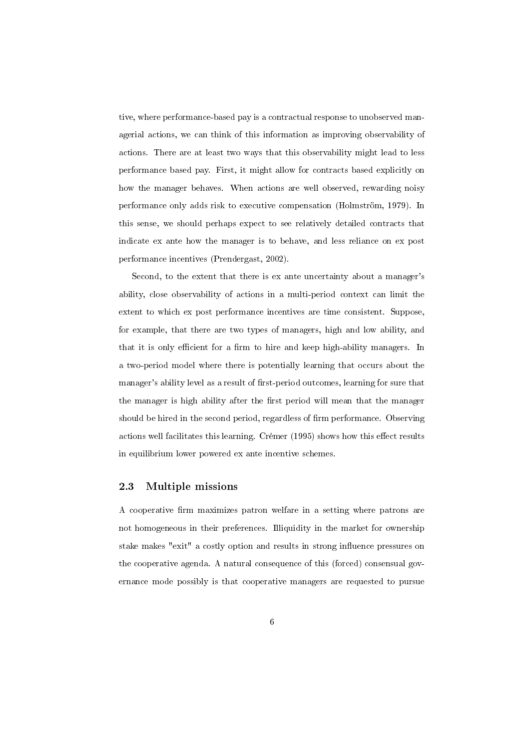tive, where performance-based pay is a contractual response to unobserved managerial actions, we can think of this information as improving observability of actions. There are at least two ways that this observability might lead to less performance based pay. First, it might allow for contracts based explicitly on how the manager behaves. When actions are well observed, rewarding noisy performance only adds risk to executive compensation (Holmström, 1979). In this sense, we should perhaps expect to see relatively detailed contracts that indicate ex ante how the manager is to behave, and less reliance on ex post performance incentives (Prendergast, 2002).

Second, to the extent that there is ex ante uncertainty about a manager's ability, close observability of actions in a multi-period context can limit the extent to which ex post performance incentives are time consistent. Suppose, for example, that there are two types of managers, high and low ability, and that it is only efficient for a firm to hire and keep high-ability managers. In a two-period model where there is potentially learning that occurs about the manager's ability level as a result of first-period outcomes, learning for sure that the manager is high ability after the first period will mean that the manager should be hired in the second period, regardless of firm performance. Observing actions well facilitates this learning. Crémer (1995) shows how this effect results in equilibrium lower powered ex ante incentive schemes.

## 2.3 Multiple missions

A cooperative firm maximizes patron welfare in a setting where patrons are not homogeneous in their preferences. Illiquidity in the market for ownership stake makes "exit" a costly option and results in strong influence pressures on the cooperative agenda. A natural consequence of this (forced) consensual governance mode possibly is that cooperative managers are requested to pursue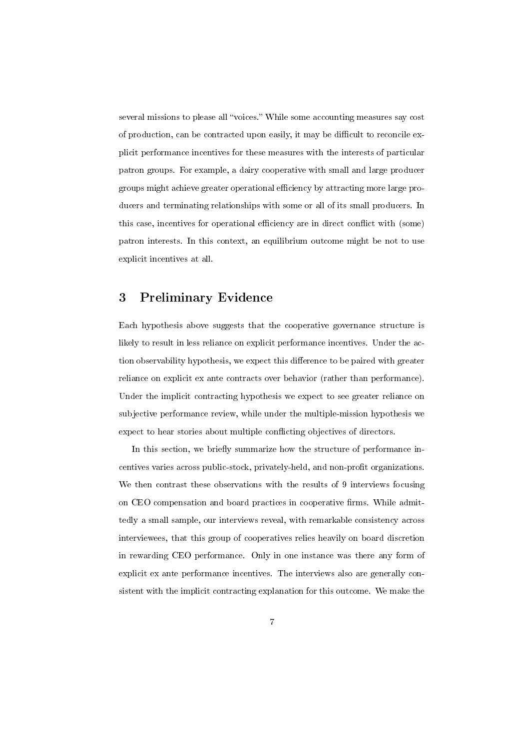several missions to please all "voices." While some accounting measures say cost of production, can be contracted upon easily, it may be difficult to reconcile explicit performance incentives for these measures with the interests of particular patron groups. For example, a dairy cooperative with small and large producer groups might achieve greater operational efficiency by attracting more large producers and terminating relationships with some or all of its small producers. In this case, incentives for operational efficiency are in direct conflict with (some) patron interests. In this context, an equilibrium outcome might be not to use explicit incentives at all.

# 3 Preliminary Evidence

Each hypothesis above suggests that the cooperative governance structure is likely to result in less reliance on explicit performance incentives. Under the action observability hypothesis, we expect this difference to be paired with greater reliance on explicit ex ante contracts over behavior (rather than performance). Under the implicit contracting hypothesis we expect to see greater reliance on subjective performance review, while under the multiple-mission hypothesis we expect to hear stories about multiple conflicting objectives of directors.

In this section, we briefly summarize how the structure of performance incentives varies across public-stock, privately-held, and non-profit organizations. We then contrast these observations with the results of 9 interviews focusing on CEO compensation and board practices in cooperative firms. While admittedly a small sample, our interviews reveal, with remarkable consistency across interviewees, that this group of cooperatives relies heavily on board discretion in rewarding CEO performance. Only in one instance was there any form of explicit ex ante performance incentives. The interviews also are generally consistent with the implicit contracting explanation for this outcome. We make the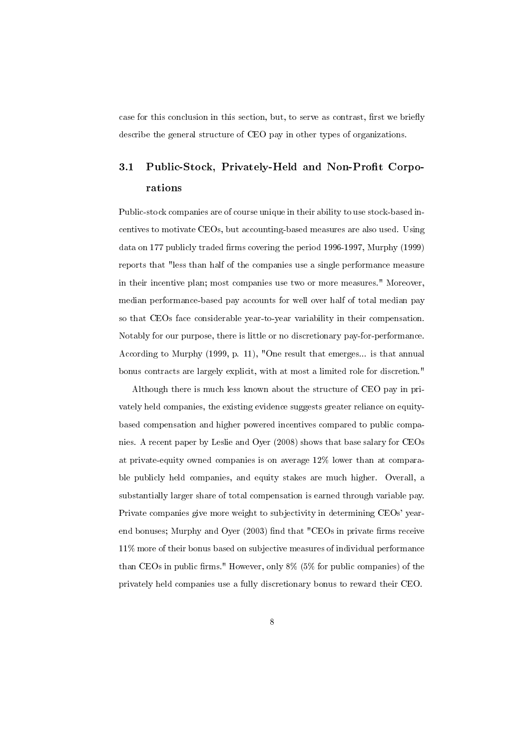case for this conclusion in this section, but, to serve as contrast, first we briefly describe the general structure of CEO pay in other types of organizations.

# 3.1 Public-Stock, Privately-Held and Non-Profit Corporations

Public-stock companies are of course unique in their ability to use stock-based incentives to motivate CEOs, but accounting-based measures are also used. Using data on 177 publicly traded firms covering the period 1996-1997, Murphy (1999) reports that "less than half of the companies use a single performance measure in their incentive plan; most companies use two or more measures." Moreover, median performance-based pay accounts for well over half of total median pay so that CEOs face considerable year-to-year variability in their compensation. Notably for our purpose, there is little or no discretionary pay-for-performance. According to Murphy (1999, p. 11), "One result that emerges... is that annual bonus contracts are largely explicit, with at most a limited role for discretion."

Although there is much less known about the structure of CEO pay in privately held companies, the existing evidence suggests greater reliance on equitybased compensation and higher powered incentives compared to public companies. A recent paper by Leslie and Oyer (2008) shows that base salary for CEOs at private-equity owned companies is on average 12% lower than at comparable publicly held companies, and equity stakes are much higher. Overall, a substantially larger share of total compensation is earned through variable pay. Private companies give more weight to subjectivity in determining CEOs' yearend bonuses; Murphy and Oyer  $(2003)$  find that "CEOs in private firms receive 11% more of their bonus based on subjective measures of individual performance than CEOs in public firms." However, only  $8\%$  (5% for public companies) of the privately held companies use a fully discretionary bonus to reward their CEO.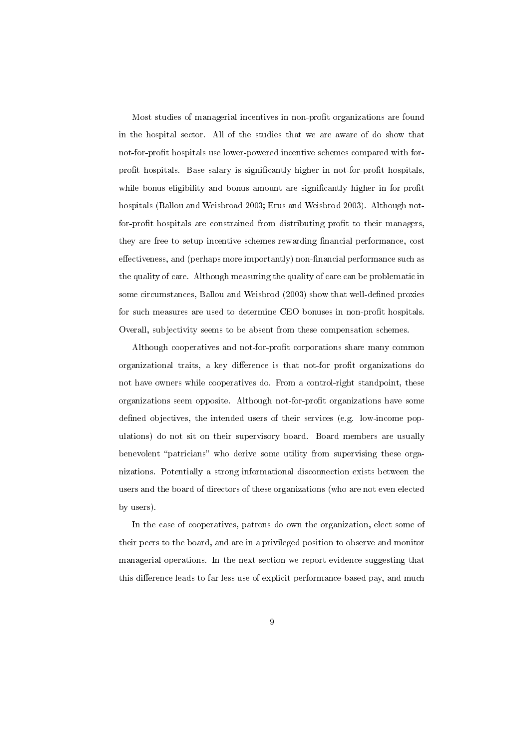Most studies of managerial incentives in non-profit organizations are found in the hospital sector. All of the studies that we are aware of do show that not-for-profit hospitals use lower-powered incentive schemes compared with forprofit hospitals. Base salary is significantly higher in not-for-profit hospitals, while bonus eligibility and bonus amount are significantly higher in for-profit hospitals (Ballou and Weisbroad 2003; Erus and Weisbrod 2003). Although notfor-profit hospitals are constrained from distributing profit to their managers, they are free to setup incentive schemes rewarding financial performance, cost effectiveness, and (perhaps more importantly) non-financial performance such as the quality of care. Although measuring the quality of care can be problematic in some circumstances, Ballou and Weisbrod (2003) show that well-defined proxies for such measures are used to determine CEO bonuses in non-profit hospitals. Overall, subjectivity seems to be absent from these compensation schemes.

Although cooperatives and not-for-profit corporations share many common organizational traits, a key difference is that not-for profit organizations do not have owners while cooperatives do. From a control-right standpoint, these organizations seem opposite. Although not-for-profit organizations have some defined objectives, the intended users of their services (e.g. low-income populations) do not sit on their supervisory board. Board members are usually benevolent "patricians" who derive some utility from supervising these organizations. Potentially a strong informational disconnection exists between the users and the board of directors of these organizations (who are not even elected by users).

In the case of cooperatives, patrons do own the organization, elect some of their peers to the board, and are in a privileged position to observe and monitor managerial operations. In the next section we report evidence suggesting that this difference leads to far less use of explicit performance-based pay, and much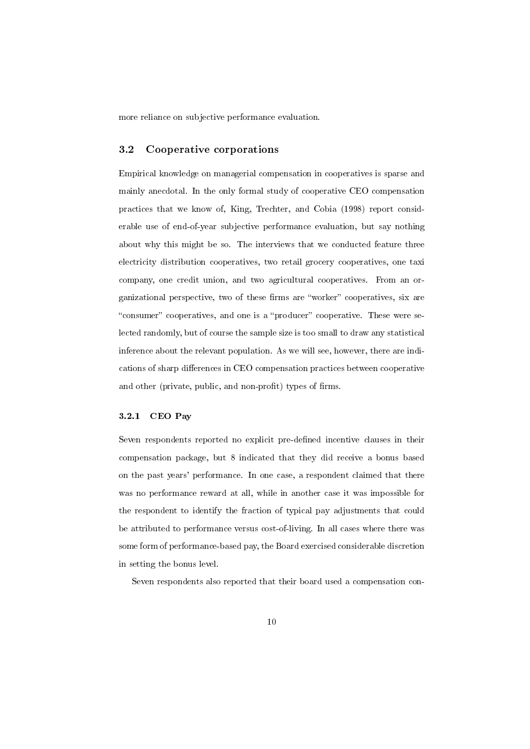more reliance on subjective performance evaluation.

### 3.2 Cooperative corporations

Empirical knowledge on managerial compensation in cooperatives is sparse and mainly anecdotal. In the only formal study of cooperative CEO compensation practices that we know of, King, Trechter, and Cobia (1998) report considerable use of end-of-year subjective performance evaluation, but say nothing about why this might be so. The interviews that we conducted feature three electricity distribution cooperatives, two retail grocery cooperatives, one taxi company, one credit union, and two agricultural cooperatives. From an organizational perspective, two of these firms are "worker" cooperatives, six are "consumer" cooperatives, and one is a "producer" cooperative. These were selected randomly, but of course the sample size is too small to draw any statistical inference about the relevant population. As we will see, however, there are indications of sharp differences in CEO compensation practices between cooperative and other (private, public, and non-profit) types of firms.

### 3.2.1 CEO Pay

Seven respondents reported no explicit pre-defined incentive clauses in their compensation package, but 8 indicated that they did receive a bonus based on the past years' performance. In one case, a respondent claimed that there was no performance reward at all, while in another case it was impossible for the respondent to identify the fraction of typical pay adjustments that could be attributed to performance versus cost-of-living. In all cases where there was some form of performance-based pay, the Board exercised considerable discretion in setting the bonus level.

Seven respondents also reported that their board used a compensation con-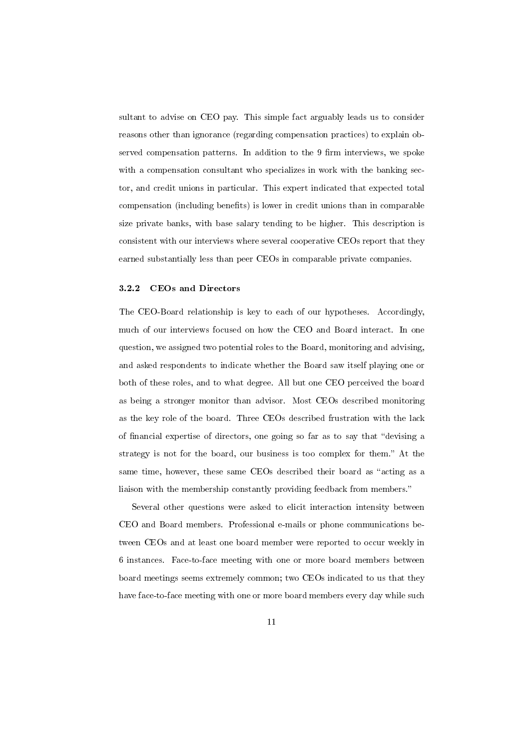sultant to advise on CEO pay. This simple fact arguably leads us to consider reasons other than ignorance (regarding compensation practices) to explain observed compensation patterns. In addition to the 9 firm interviews, we spoke with a compensation consultant who specializes in work with the banking sector, and credit unions in particular. This expert indicated that expected total compensation (including benefits) is lower in credit unions than in comparable size private banks, with base salary tending to be higher. This description is consistent with our interviews where several cooperative CEOs report that they earned substantially less than peer CEOs in comparable private companies.

### 3.2.2 CEOs and Directors

The CEO-Board relationship is key to each of our hypotheses. Accordingly, much of our interviews focused on how the CEO and Board interact. In one question, we assigned two potential roles to the Board, monitoring and advising, and asked respondents to indicate whether the Board saw itself playing one or both of these roles, and to what degree. All but one CEO perceived the board as being a stronger monitor than advisor. Most CEOs described monitoring as the key role of the board. Three CEOs described frustration with the lack of financial expertise of directors, one going so far as to say that "devising a strategy is not for the board, our business is too complex for them." At the same time, however, these same CEOs described their board as "acting as a liaison with the membership constantly providing feedback from members.

Several other questions were asked to elicit interaction intensity between CEO and Board members. Professional e-mails or phone communications between CEOs and at least one board member were reported to occur weekly in 6 instances. Face-to-face meeting with one or more board members between board meetings seems extremely common; two CEOs indicated to us that they have face-to-face meeting with one or more board members every day while such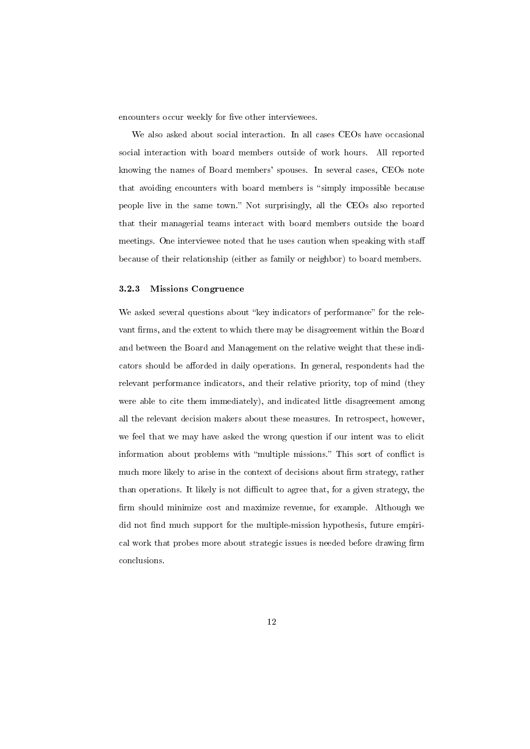encounters occur weekly for five other interviewees.

We also asked about social interaction. In all cases CEOs have occasional social interaction with board members outside of work hours. All reported knowing the names of Board members' spouses. In several cases, CEOs note that avoiding encounters with board members is "simply impossible because people live in the same town." Not surprisingly, all the CEOs also reported that their managerial teams interact with board members outside the board meetings. One interviewee noted that he uses caution when speaking with sta because of their relationship (either as family or neighbor) to board members.

#### 3.2.3 Missions Congruence

We asked several questions about "key indicators of performance" for the relevant firms, and the extent to which there may be disagreement within the Board and between the Board and Management on the relative weight that these indicators should be afforded in daily operations. In general, respondents had the relevant performance indicators, and their relative priority, top of mind (they were able to cite them immediately), and indicated little disagreement among all the relevant decision makers about these measures. In retrospect, however, we feel that we may have asked the wrong question if our intent was to elicit information about problems with "multiple missions." This sort of conflict is much more likely to arise in the context of decisions about firm strategy, rather than operations. It likely is not difficult to agree that, for a given strategy, the firm should minimize cost and maximize revenue, for example. Although we did not find much support for the multiple-mission hypothesis, future empirical work that probes more about strategic issues is needed before drawing firm conclusions.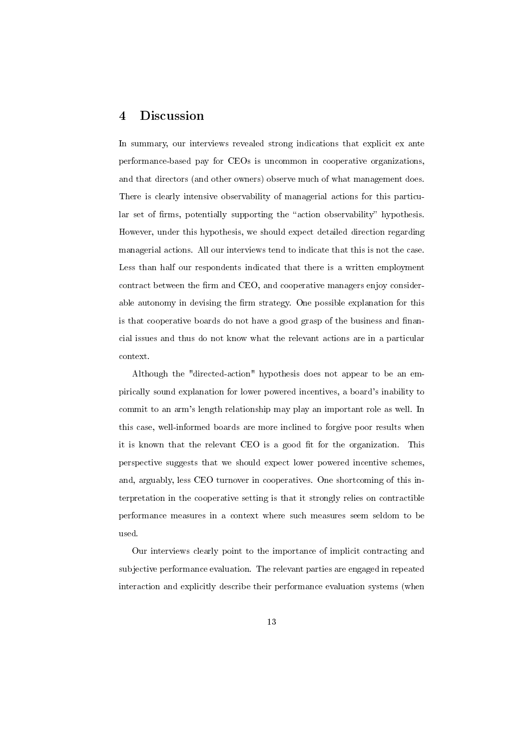# 4 Discussion

In summary, our interviews revealed strong indications that explicit ex ante performance-based pay for CEOs is uncommon in cooperative organizations, and that directors (and other owners) observe much of what management does. There is clearly intensive observability of managerial actions for this particular set of firms, potentially supporting the "action observability" hypothesis. However, under this hypothesis, we should expect detailed direction regarding managerial actions. All our interviews tend to indicate that this is not the case. Less than half our respondents indicated that there is a written employment contract between the firm and CEO, and cooperative managers enjoy considerable autonomy in devising the firm strategy. One possible explanation for this is that cooperative boards do not have a good grasp of the business and financial issues and thus do not know what the relevant actions are in a particular context.

Although the "directed-action" hypothesis does not appear to be an empirically sound explanation for lower powered incentives, a board's inability to commit to an arm's length relationship may play an important role as well. In this case, well-informed boards are more inclined to forgive poor results when it is known that the relevant CEO is a good fit for the organization. This perspective suggests that we should expect lower powered incentive schemes, and, arguably, less CEO turnover in cooperatives. One shortcoming of this interpretation in the cooperative setting is that it strongly relies on contractible performance measures in a context where such measures seem seldom to be used.

Our interviews clearly point to the importance of implicit contracting and subjective performance evaluation. The relevant parties are engaged in repeated interaction and explicitly describe their performance evaluation systems (when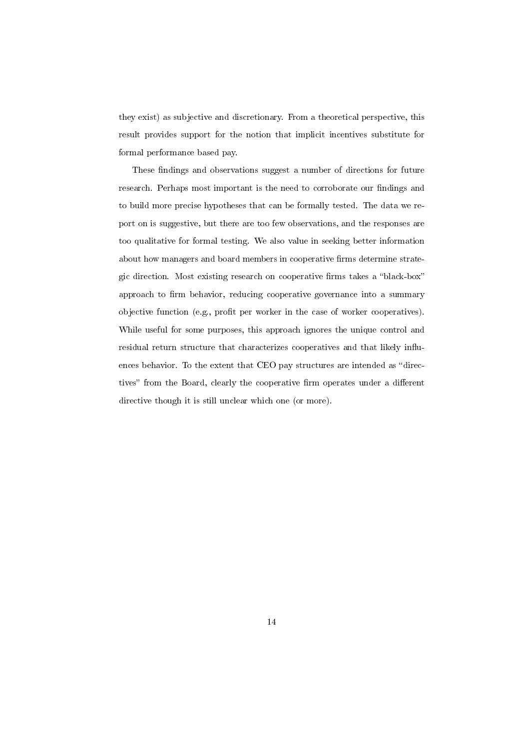they exist) as subjective and discretionary. From a theoretical perspective, this result provides support for the notion that implicit incentives substitute for formal performance based pay.

These findings and observations suggest a number of directions for future research. Perhaps most important is the need to corroborate our findings and to build more precise hypotheses that can be formally tested. The data we report on is suggestive, but there are too few observations, and the responses are too qualitative for formal testing. We also value in seeking better information about how managers and board members in cooperative firms determine strategic direction. Most existing research on cooperative firms takes a "black-box" approach to firm behavior, reducing cooperative governance into a summary objective function (e.g., profit per worker in the case of worker cooperatives). While useful for some purposes, this approach ignores the unique control and residual return structure that characterizes cooperatives and that likely influences behavior. To the extent that CEO pay structures are intended as "directives" from the Board, clearly the cooperative firm operates under a different directive though it is still unclear which one (or more).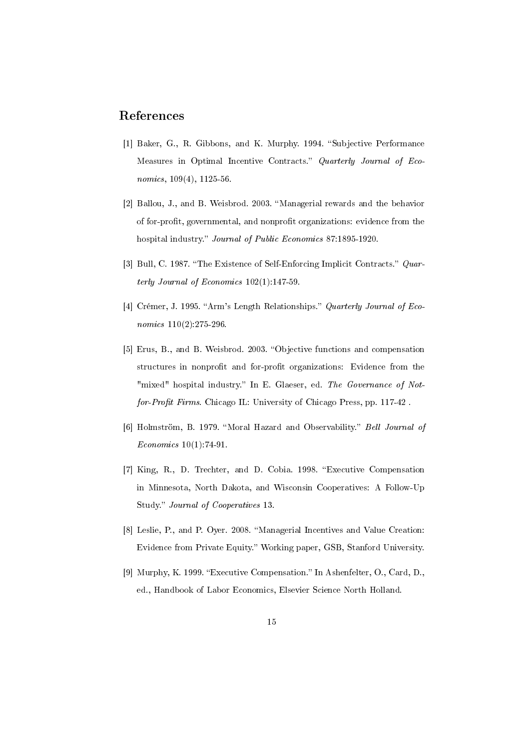## References

- [1] Baker, G., R. Gibbons, and K. Murphy. 1994. "Subjective Performance Measures in Optimal Incentive Contracts." Quarterly Journal of Economics, 109(4), 1125-56.
- [2] Ballou, J., and B. Weisbrod. 2003. "Managerial rewards and the behavior of for-profit, governmental, and nonprofit organizations: evidence from the hospital industry." *Journal of Public Economics* 87:1895-1920.
- [3] Bull, C. 1987. "The Existence of Self-Enforcing Implicit Contracts." Quarterly Journal of Economics 102(1):147-59.
- [4] Crémer, J. 1995. "Arm's Length Relationships." Quarterly Journal of Economics  $110(2)$ :275-296.
- [5] Erus, B., and B. Weisbrod. 2003. "Objective functions and compensation structures in nonprofit and for-profit organizations: Evidence from the "mixed" hospital industry." In E. Glaeser, ed. The Governance of Notfor-Profit Firms. Chicago IL: University of Chicago Press, pp. 117-42.
- [6] Holmström, B. 1979. "Moral Hazard and Observability." Bell Journal of Economics 10(1):74-91.
- [7] King, R., D. Trechter, and D. Cobia. 1998. Executive Compensation in Minnesota, North Dakota, and Wisconsin Cooperatives: A Follow-Up Study." Journal of Cooperatives 13.
- [8] Leslie, P., and P. Oyer. 2008. "Managerial Incentives and Value Creation: Evidence from Private Equity. Working paper, GSB, Stanford University.
- [9] Murphy, K. 1999. "Executive Compensation." In Ashenfelter, O., Card, D., ed., Handbook of Labor Economics, Elsevier Science North Holland.